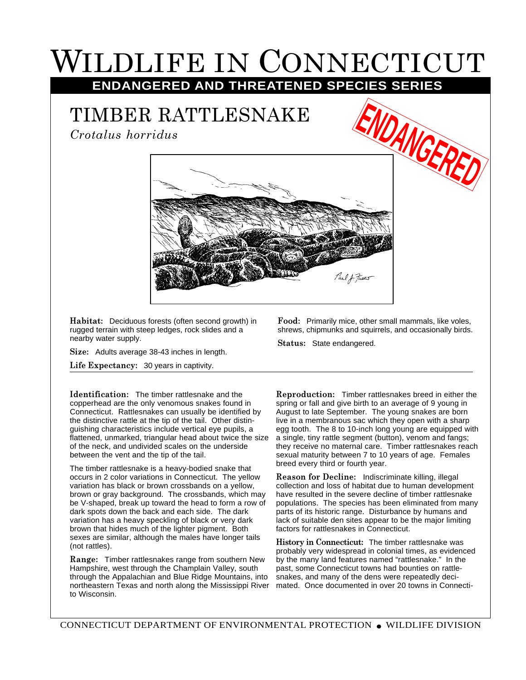## WILDLIFE IN CONNECTICUT **ENDANGERED AND THREATENED SPECIES SERIES**

## TIMBER RATTLESNAKE

*Crotalus horridus*





**Habitat:** Deciduous forests (often second growth) in rugged terrain with steep ledges, rock slides and a nearby water supply.

**Size:** Adults average 38-43 inches in length.

**Life Expectancy:** 30 years in captivity.

**Identification:** The timber rattlesnake and the copperhead are the only venomous snakes found in Connecticut. Rattlesnakes can usually be identified by the distinctive rattle at the tip of the tail. Other distinguishing characteristics include vertical eye pupils, a flattened, unmarked, triangular head about twice the size of the neck, and undivided scales on the underside between the vent and the tip of the tail.

The timber rattlesnake is a heavy-bodied snake that occurs in 2 color variations in Connecticut. The yellow variation has black or brown crossbands on a yellow, brown or gray background. The crossbands, which may be V-shaped, break up toward the head to form a row of dark spots down the back and each side. The dark variation has a heavy speckling of black or very dark brown that hides much of the lighter pigment. Both sexes are similar, although the males have longer tails (not rattles).

**Range:** Timber rattlesnakes range from southern New Hampshire, west through the Champlain Valley, south through the Appalachian and Blue Ridge Mountains, into northeastern Texas and north along the Mississippi River to Wisconsin.

**Food:** Primarily mice, other small mammals, like voles, shrews, chipmunks and squirrels, and occasionally birds.

**Status:** State endangered.

**Reproduction:** Timber rattlesnakes breed in either the spring or fall and give birth to an average of 9 young in August to late September. The young snakes are born live in a membranous sac which they open with a sharp egg tooth. The 8 to 10-inch long young are equipped with a single, tiny rattle segment (button), venom and fangs; they receive no maternal care. Timber rattlesnakes reach sexual maturity between 7 to 10 years of age. Females breed every third or fourth year.

**Reason for Decline:** Indiscriminate killing, illegal collection and loss of habitat due to human development have resulted in the severe decline of timber rattlesnake populations. The species has been eliminated from many parts of its historic range. Disturbance by humans and lack of suitable den sites appear to be the major limiting factors for rattlesnakes in Connecticut.

**History in Connecticut:** The timber rattlesnake was probably very widespread in colonial times, as evidenced by the many land features named "rattlesnake." In the past, some Connecticut towns had bounties on rattlesnakes, and many of the dens were repeatedly decimated. Once documented in over 20 towns in Connecti-

CONNECTICUT DEPARTMENT OF ENVIRONMENTAL PROTECTION ● WILDLIFE DIVISION